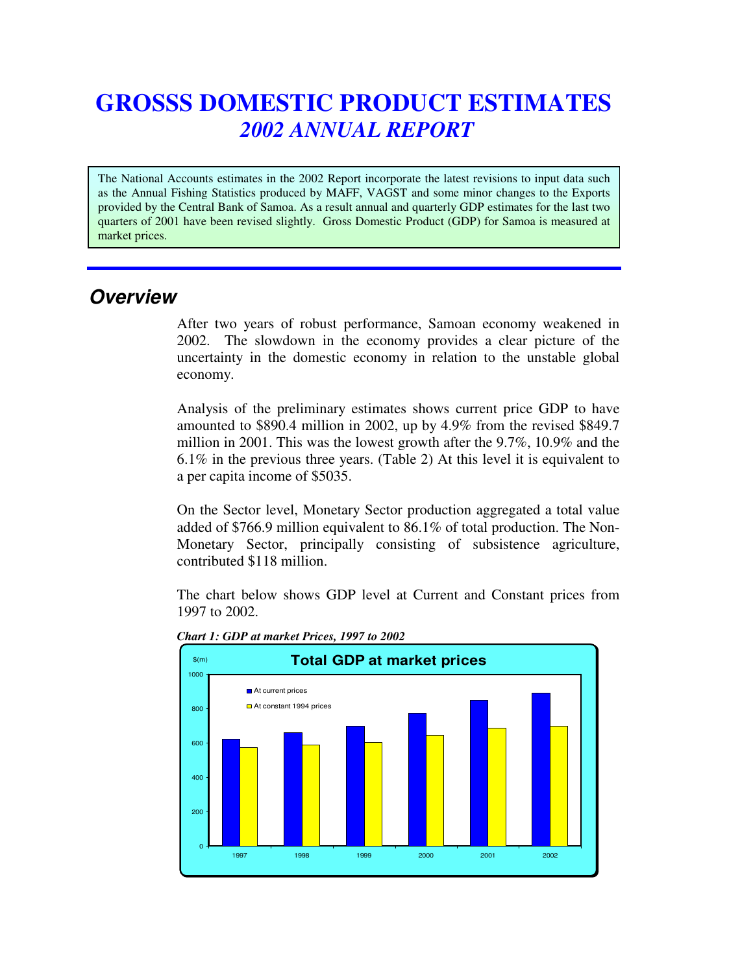# **GROSSS DOMESTIC PRODUCT ESTIMATES** *2002 ANNUAL REPORT*

The National Accounts estimates in the 2002 Report incorporate the latest revisions to input data such as the Annual Fishing Statistics produced by MAFF, VAGST and some minor changes to the Exports provided by the Central Bank of Samoa. As a result annual and quarterly GDP estimates for the last two quarters of 2001 have been revised slightly. Gross Domestic Product (GDP) for Samoa is measured at market prices.

# *Overview*

After two years of robust performance, Samoan economy weakened in 2002. The slowdown in the economy provides a clear picture of the uncertainty in the domestic economy in relation to the unstable global economy.

Analysis of the preliminary estimates shows current price GDP to have amounted to \$890.4 million in 2002, up by 4.9% from the revised \$849.7 million in 2001. This was the lowest growth after the 9.7%, 10.9% and the 6.1% in the previous three years. (Table 2) At this level it is equivalent to a per capita income of \$5035.

On the Sector level, Monetary Sector production aggregated a total value added of \$766.9 million equivalent to 86.1% of total production. The Non-Monetary Sector, principally consisting of subsistence agriculture, contributed \$118 million.

The chart below shows GDP level at Current and Constant prices from 1997 to 2002.



*Chart 1: GDP at market Prices, 1997 to 2002*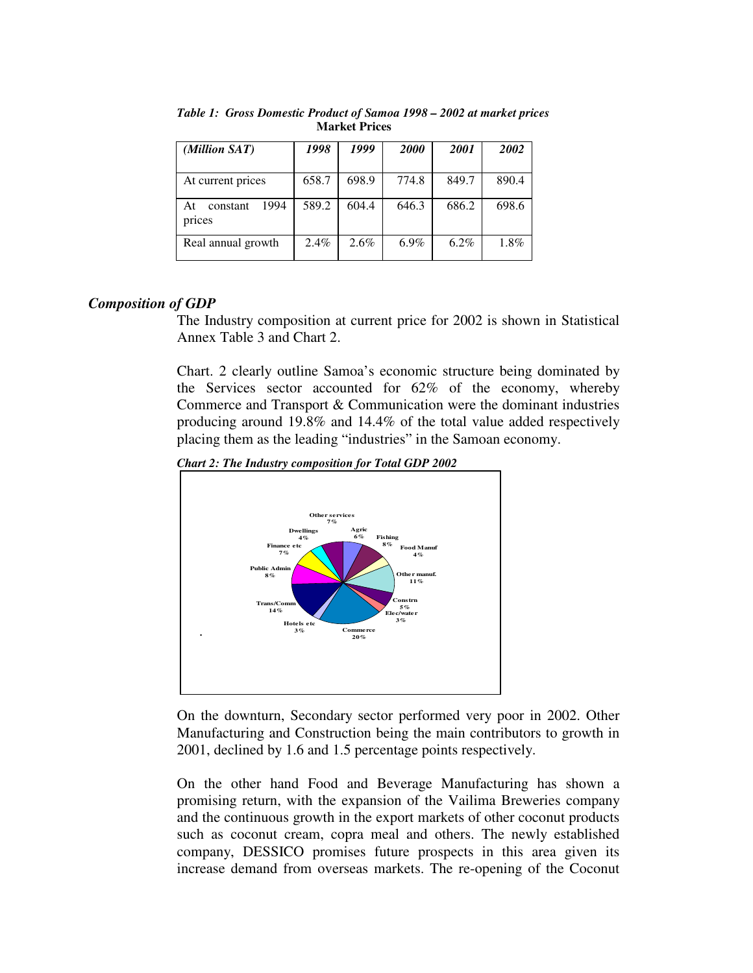| (Million SAT)                    | 1998  | 1999  | <b>2000</b> | <b>2001</b> | 2002  |
|----------------------------------|-------|-------|-------------|-------------|-------|
| At current prices                | 658.7 | 698.9 | 774.8       | 849.7       | 890.4 |
| 1994<br>At<br>constant<br>prices | 589.2 | 604.4 | 646.3       | 686.2       | 698.6 |
| Real annual growth               | 2.4%  | 2.6%  | $6.9\%$     | $6.2\%$     | 1.8%  |

*Table 1: Gross Domestic Product of Samoa 1998 – 2002 at market prices* **Market Prices**

# *Composition of GDP*

The Industry composition at current price for 2002 is shown in Statistical Annex Table 3 and Chart 2.

Chart. 2 clearly outline Samoa's economic structure being dominated by the Services sector accounted for 62% of the economy, whereby Commerce and Transport & Communication were the dominant industries producing around 19.8% and 14.4% of the total value added respectively placing them as the leading "industries" in the Samoan economy.

*Chart 2: The Industry composition for Total GDP 2002*



On the downturn, Secondary sector performed very poor in 2002. Other Manufacturing and Construction being the main contributors to growth in 2001, declined by 1.6 and 1.5 percentage points respectively.

On the other hand Food and Beverage Manufacturing has shown a promising return, with the expansion of the Vailima Breweries company and the continuous growth in the export markets of other coconut products such as coconut cream, copra meal and others. The newly established company, DESSICO promises future prospects in this area given its increase demand from overseas markets. The re-opening of the Coconut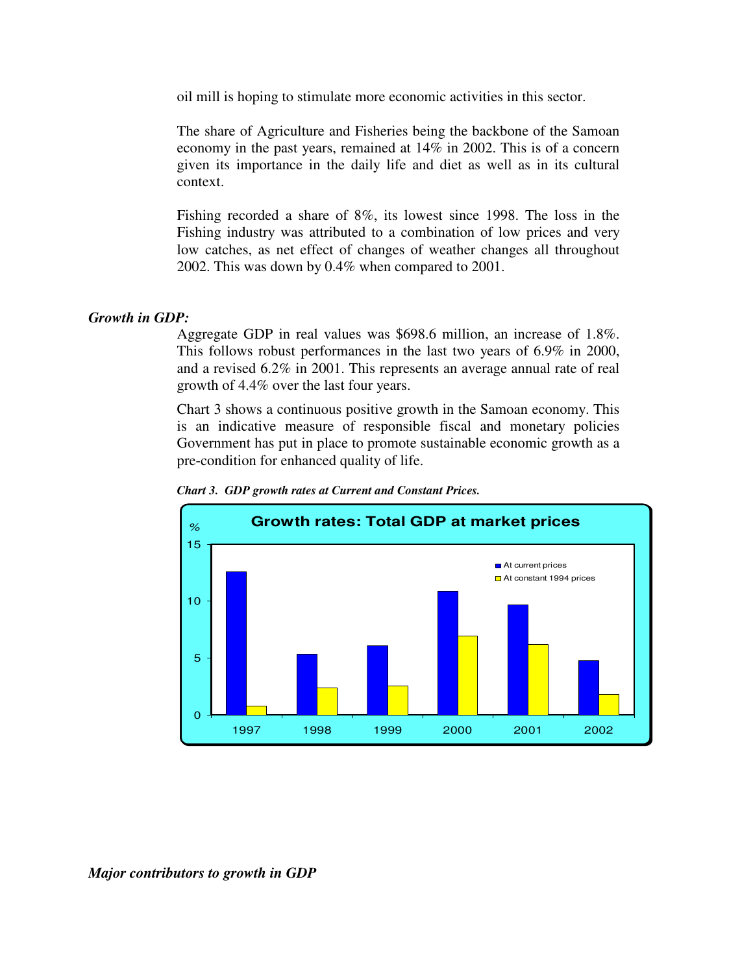oil mill is hoping to stimulate more economic activities in this sector.

The share of Agriculture and Fisheries being the backbone of the Samoan economy in the past years, remained at 14% in 2002. This is of a concern given its importance in the daily life and diet as well as in its cultural context.

Fishing recorded a share of 8%, its lowest since 1998. The loss in the Fishing industry was attributed to a combination of low prices and very low catches, as net effect of changes of weather changes all throughout 2002. This was down by 0.4% when compared to 2001.

#### *Growth in GDP:*

Aggregate GDP in real values was \$698.6 million, an increase of 1.8%. This follows robust performances in the last two years of 6.9% in 2000, and a revised 6.2% in 2001. This represents an average annual rate of real growth of 4.4% over the last four years.

Chart 3 shows a continuous positive growth in the Samoan economy. This is an indicative measure of responsible fiscal and monetary policies Government has put in place to promote sustainable economic growth as a pre-condition for enhanced quality of life.



*Chart 3. GDP growth rates at Current and Constant Prices.*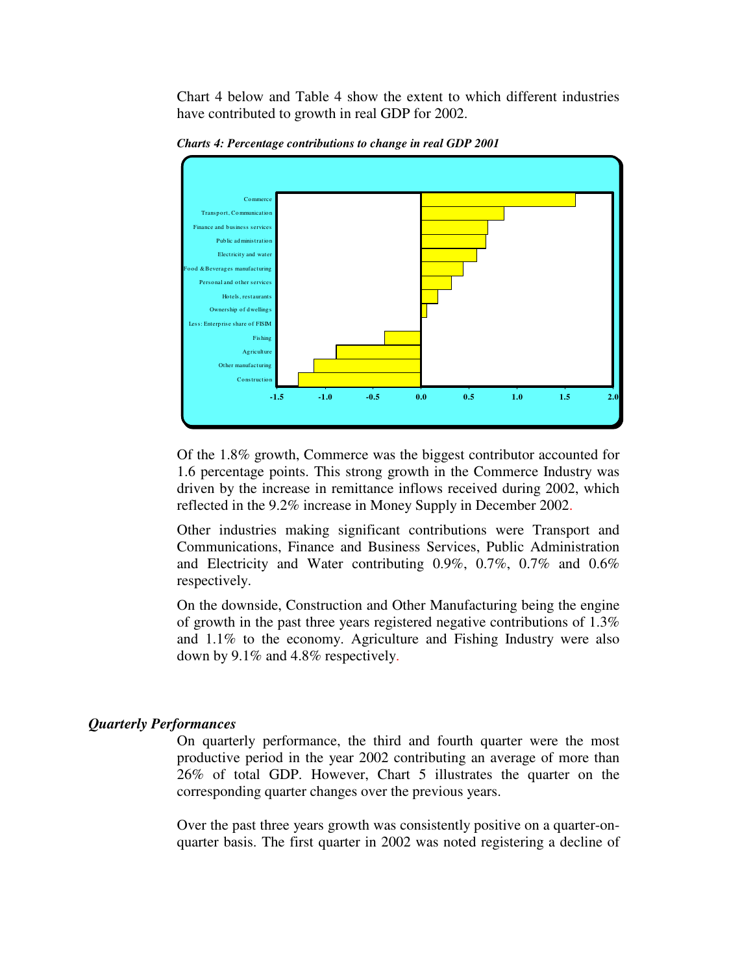Chart 4 below and Table 4 show the extent to which different industries have contributed to growth in real GDP for 2002.



*Charts 4: Percentage contributions to change in real GDP 2001*

Of the 1.8% growth, Commerce was the biggest contributor accounted for 1.6 percentage points. This strong growth in the Commerce Industry was driven by the increase in remittance inflows received during 2002, which reflected in the 9.2% increase in Money Supply in December 2002.

Other industries making significant contributions were Transport and Communications, Finance and Business Services, Public Administration and Electricity and Water contributing 0.9%, 0.7%, 0.7% and 0.6% respectively.

On the downside, Construction and Other Manufacturing being the engine of growth in the past three years registered negative contributions of 1.3% and 1.1% to the economy. Agriculture and Fishing Industry were also down by 9.1% and 4.8% respectively.

#### *Quarterly Performances*

On quarterly performance, the third and fourth quarter were the most productive period in the year 2002 contributing an average of more than 26% of total GDP. However, Chart 5 illustrates the quarter on the corresponding quarter changes over the previous years.

Over the past three years growth was consistently positive on a quarter-onquarter basis. The first quarter in 2002 was noted registering a decline of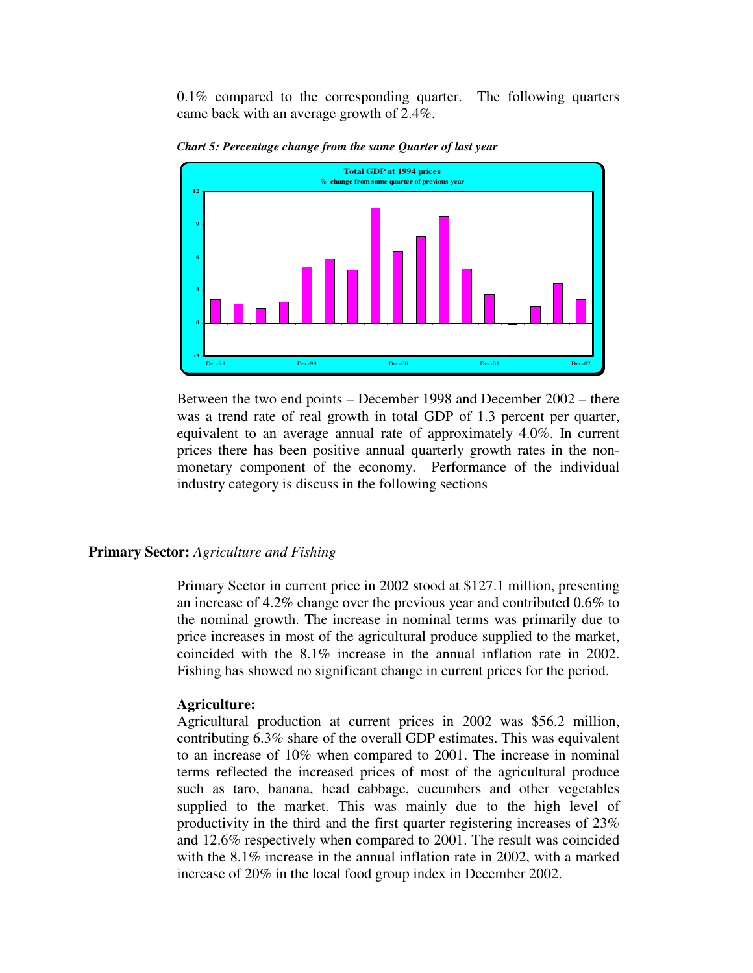$0.1\%$  compared to the corresponding quarter. The following quarters came back with an average growth of 2.4%.



*Chart 5: Percentage change from the same Quarter of last year*

Between the two end points – December 1998 and December 2002 – there was a trend rate of real growth in total GDP of 1.3 percent per quarter, equivalent to an average annual rate of approximately 4.0%. In current prices there has been positive annual quarterly growth rates in the nonmonetary component of the economy. Performance of the individual industry category is discuss in the following sections

#### **Primary Sector:** *Agriculture and Fishing*

Primary Sector in current price in 2002 stood at \$127.1 million, presenting an increase of 4.2% change over the previous year and contributed 0.6% to the nominal growth. The increase in nominal terms was primarily due to price increases in most of the agricultural produce supplied to the market, coincided with the 8.1% increase in the annual inflation rate in 2002. Fishing has showed no significant change in current prices for the period.

#### **Agriculture:**

Agricultural production at current prices in 2002 was \$56.2 million, contributing 6.3% share of the overall GDP estimates. This was equivalent to an increase of 10% when compared to 2001. The increase in nominal terms reflected the increased prices of most of the agricultural produce such as taro, banana, head cabbage, cucumbers and other vegetables supplied to the market. This was mainly due to the high level of productivity in the third and the first quarter registering increases of 23% and 12.6% respectively when compared to 2001. The result was coincided with the 8.1% increase in the annual inflation rate in 2002, with a marked increase of 20% in the local food group index in December 2002.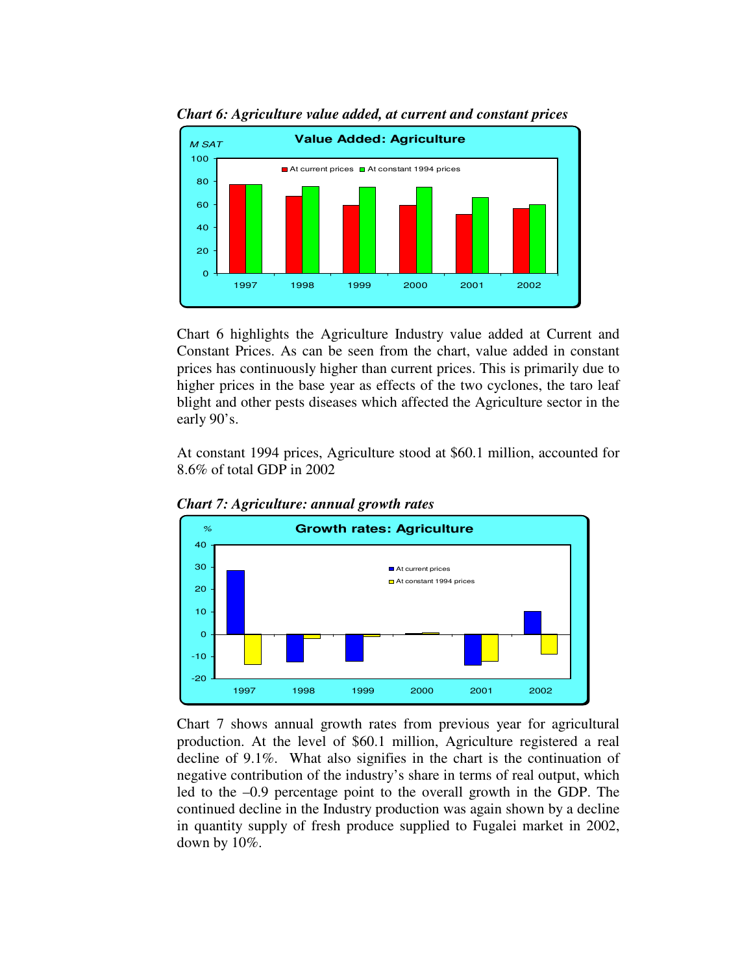

*Chart 6: Agriculture value added, at current and constant prices*

Chart 6 highlights the Agriculture Industry value added at Current and Constant Prices. As can be seen from the chart, value added in constant prices has continuously higher than current prices. This is primarily due to higher prices in the base year as effects of the two cyclones, the taro leaf blight and other pests diseases which affected the Agriculture sector in the early 90's.

At constant 1994 prices, Agriculture stood at \$60.1 million, accounted for 8.6% of total GDP in 2002



*Chart 7: Agriculture: annual growth rates*

Chart 7 shows annual growth rates from previous year for agricultural production. At the level of \$60.1 million, Agriculture registered a real decline of 9.1%. What also signifies in the chart is the continuation of negative contribution of the industry's share in terms of real output, which led to the –0.9 percentage point to the overall growth in the GDP. The continued decline in the Industry production was again shown by a decline in quantity supply of fresh produce supplied to Fugalei market in 2002, down by 10%.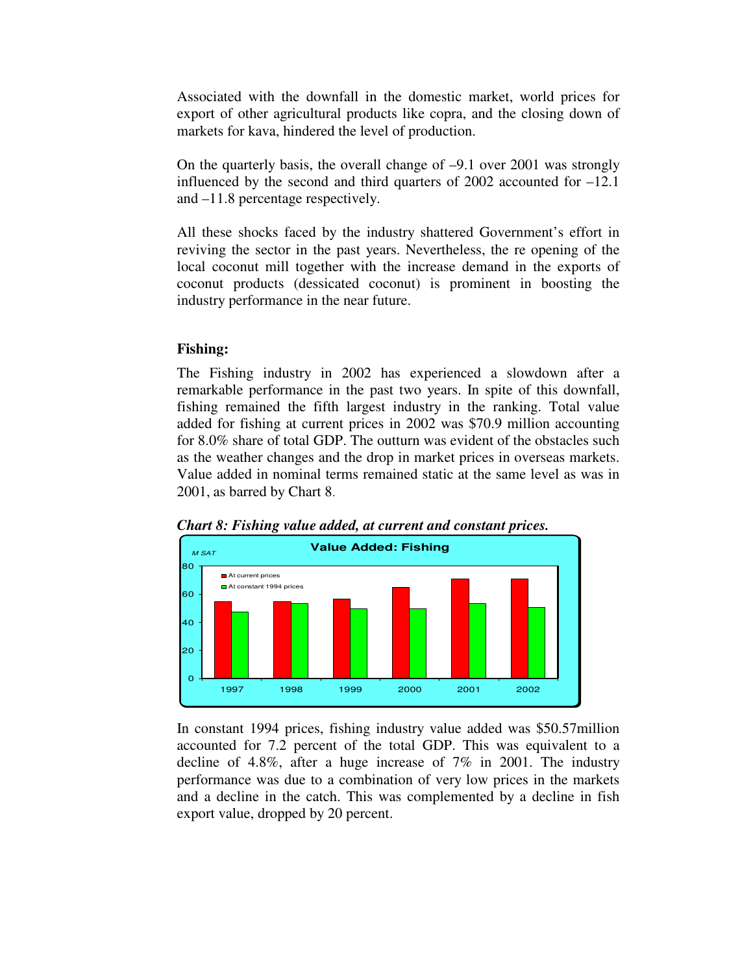Associated with the downfall in the domestic market, world prices for export of other agricultural products like copra, and the closing down of markets for kava, hindered the level of production.

On the quarterly basis, the overall change of –9.1 over 2001 was strongly influenced by the second and third quarters of 2002 accounted for –12.1 and –11.8 percentage respectively.

All these shocks faced by the industry shattered Government's effort in reviving the sector in the past years. Nevertheless, the re opening of the local coconut mill together with the increase demand in the exports of coconut products (dessicated coconut) is prominent in boosting the industry performance in the near future.

# **Fishing:**

The Fishing industry in 2002 has experienced a slowdown after a remarkable performance in the past two years. In spite of this downfall, fishing remained the fifth largest industry in the ranking. Total value added for fishing at current prices in 2002 was \$70.9 million accounting for 8.0% share of total GDP. The outturn was evident of the obstacles such as the weather changes and the drop in market prices in overseas markets. Value added in nominal terms remained static at the same level as was in 2001, as barred by Chart 8.





In constant 1994 prices, fishing industry value added was \$50.57million accounted for 7.2 percent of the total GDP. This was equivalent to a decline of 4.8%, after a huge increase of 7% in 2001. The industry performance was due to a combination of very low prices in the markets and a decline in the catch. This was complemented by a decline in fish export value, dropped by 20 percent.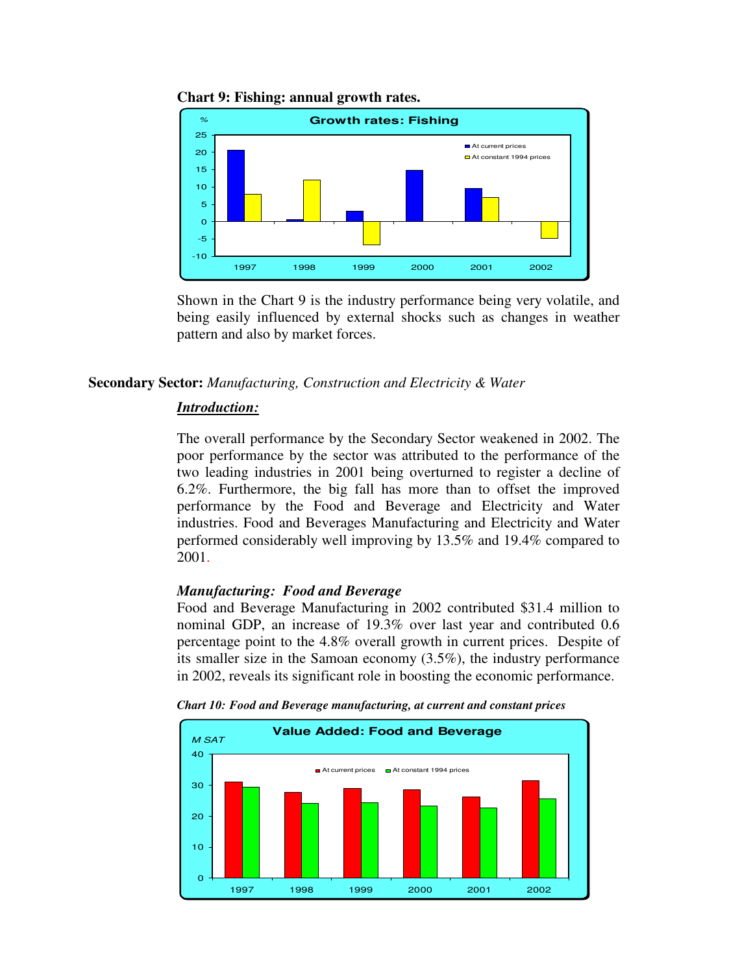

**Chart 9: Fishing: annual growth rates.**

Shown in the Chart 9 is the industry performance being very volatile, and being easily influenced by external shocks such as changes in weather pattern and also by market forces.

#### **Secondary Sector:** *Manufacturing, Construction and Electricity & Water*

#### *Introduction:*

The overall performance by the Secondary Sector weakened in 2002. The poor performance by the sector was attributed to the performance of the two leading industries in 2001 being overturned to register a decline of 6.2%. Furthermore, the big fall has more than to offset the improved performance by the Food and Beverage and Electricity and Water industries. Food and Beverages Manufacturing and Electricity and Water performed considerably well improving by 13.5% and 19.4% compared to 2001.

#### *Manufacturing: Food and Beverage*

Food and Beverage Manufacturing in 2002 contributed \$31.4 million to nominal GDP, an increase of 19.3% over last year and contributed 0.6 percentage point to the 4.8% overall growth in current prices. Despite of its smaller size in the Samoan economy (3.5%), the industry performance in 2002, reveals its significant role in boosting the economic performance.



*Chart 10: Food and Beverage manufacturing, at current and constant prices*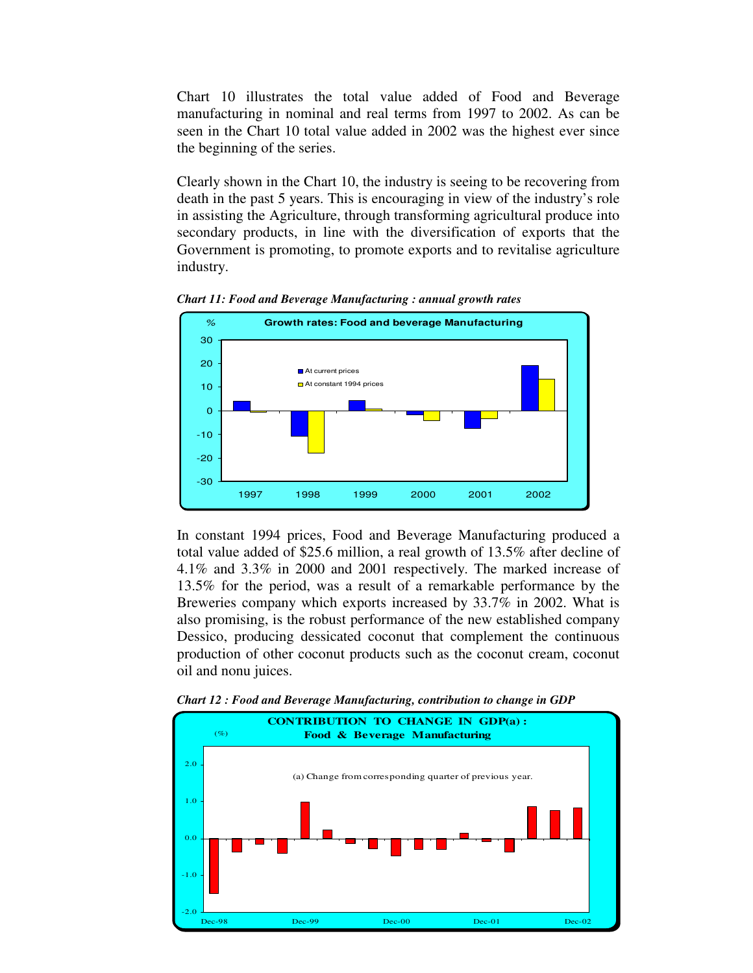Chart 10 illustrates the total value added of Food and Beverage manufacturing in nominal and real terms from 1997 to 2002. As can be seen in the Chart 10 total value added in 2002 was the highest ever since the beginning of the series.

Clearly shown in the Chart 10, the industry is seeing to be recovering from death in the past 5 years. This is encouraging in view of the industry's role in assisting the Agriculture, through transforming agricultural produce into secondary products, in line with the diversification of exports that the Government is promoting, to promote exports and to revitalise agriculture industry.



*Chart 11: Food and Beverage Manufacturing : annual growth rates*

In constant 1994 prices, Food and Beverage Manufacturing produced a total value added of \$25.6 million, a real growth of 13.5% after decline of 4.1% and 3.3% in 2000 and 2001 respectively. The marked increase of 13.5% for the period, was a result of a remarkable performance by the Breweries company which exports increased by 33.7% in 2002. What is also promising, is the robust performance of the new established company Dessico, producing dessicated coconut that complement the continuous production of other coconut products such as the coconut cream, coconut oil and nonu juices.



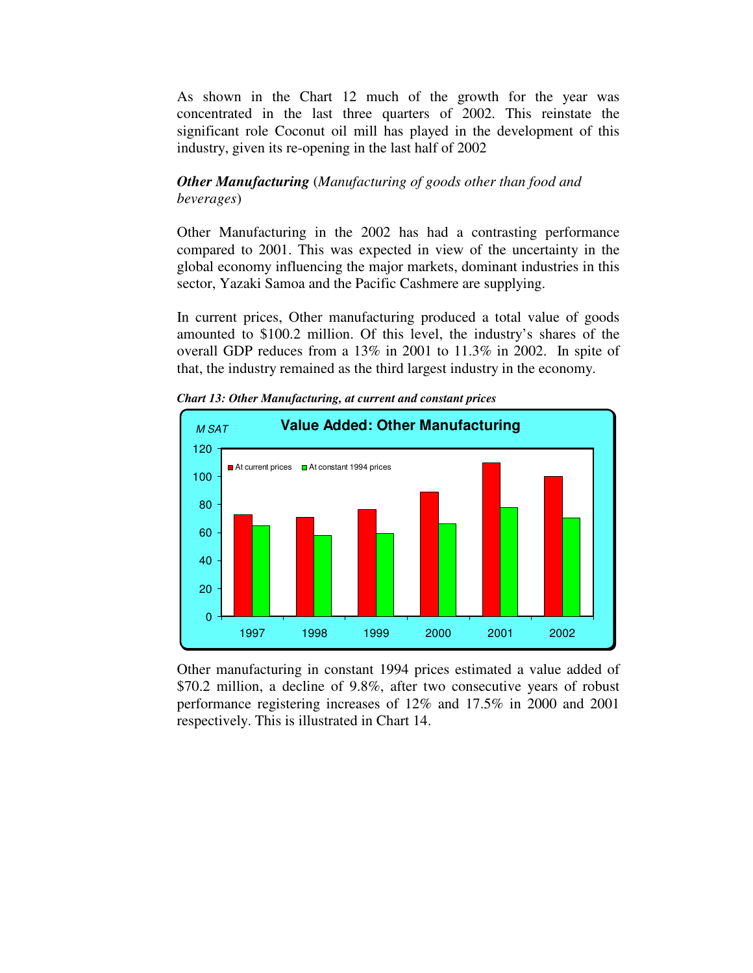As shown in the Chart 12 much of the growth for the year was concentrated in the last three quarters of 2002. This reinstate the significant role Coconut oil mill has played in the development of this industry, given its re-opening in the last half of 2002

# *Other Manufacturing* (*Manufacturing of goods other than food and beverages*)

Other Manufacturing in the 2002 has had a contrasting performance compared to 2001. This was expected in view of the uncertainty in the global economy influencing the major markets, dominant industries in this sector, Yazaki Samoa and the Pacific Cashmere are supplying.

In current prices, Other manufacturing produced a total value of goods amounted to \$100.2 million. Of this level, the industry's shares of the overall GDP reduces from a 13% in 2001 to 11.3% in 2002. In spite of that, the industry remained as the third largest industry in the economy.



*Chart 13: Other Manufacturing, at current and constant prices*

Other manufacturing in constant 1994 prices estimated a value added of \$70.2 million, a decline of 9.8%, after two consecutive years of robust performance registering increases of 12% and 17.5% in 2000 and 2001 respectively. This is illustrated in Chart 14.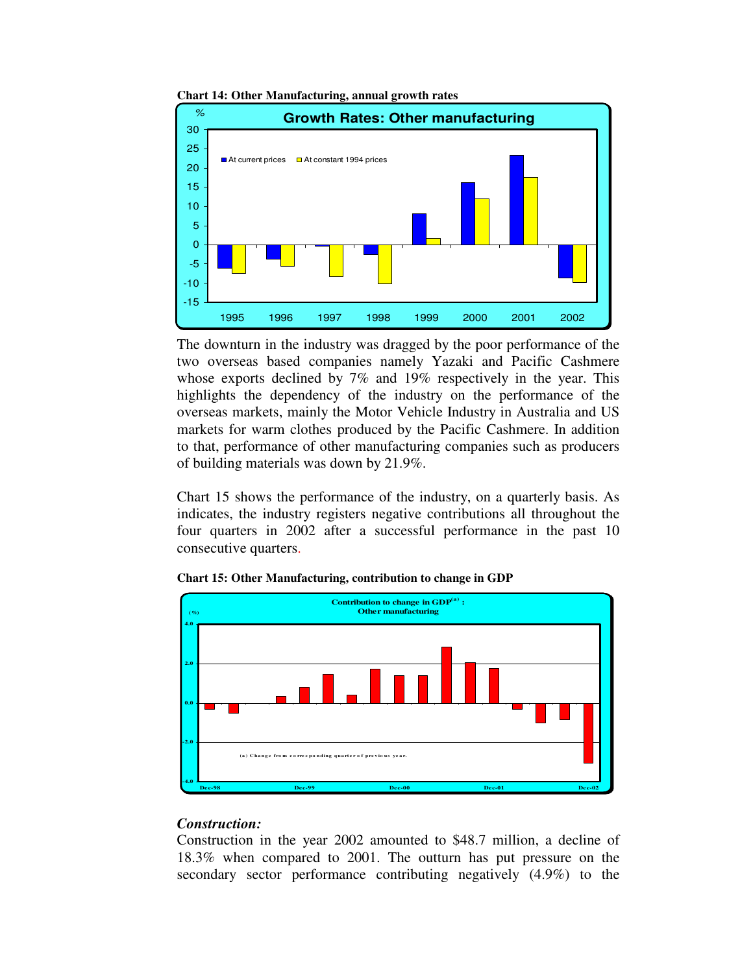

**Chart 14: Other Manufacturing, annual growth rates**

The downturn in the industry was dragged by the poor performance of the two overseas based companies namely Yazaki and Pacific Cashmere whose exports declined by 7% and 19% respectively in the year. This highlights the dependency of the industry on the performance of the overseas markets, mainly the Motor Vehicle Industry in Australia and US markets for warm clothes produced by the Pacific Cashmere. In addition to that, performance of other manufacturing companies such as producers of building materials was down by 21.9%.

Chart 15 shows the performance of the industry, on a quarterly basis. As indicates, the industry registers negative contributions all throughout the four quarters in 2002 after a successful performance in the past 10 consecutive quarters.



**Chart 15: Other Manufacturing, contribution to change in GDP**

#### *Construction:*

Construction in the year 2002 amounted to \$48.7 million, a decline of 18.3% when compared to 2001. The outturn has put pressure on the secondary sector performance contributing negatively (4.9%) to the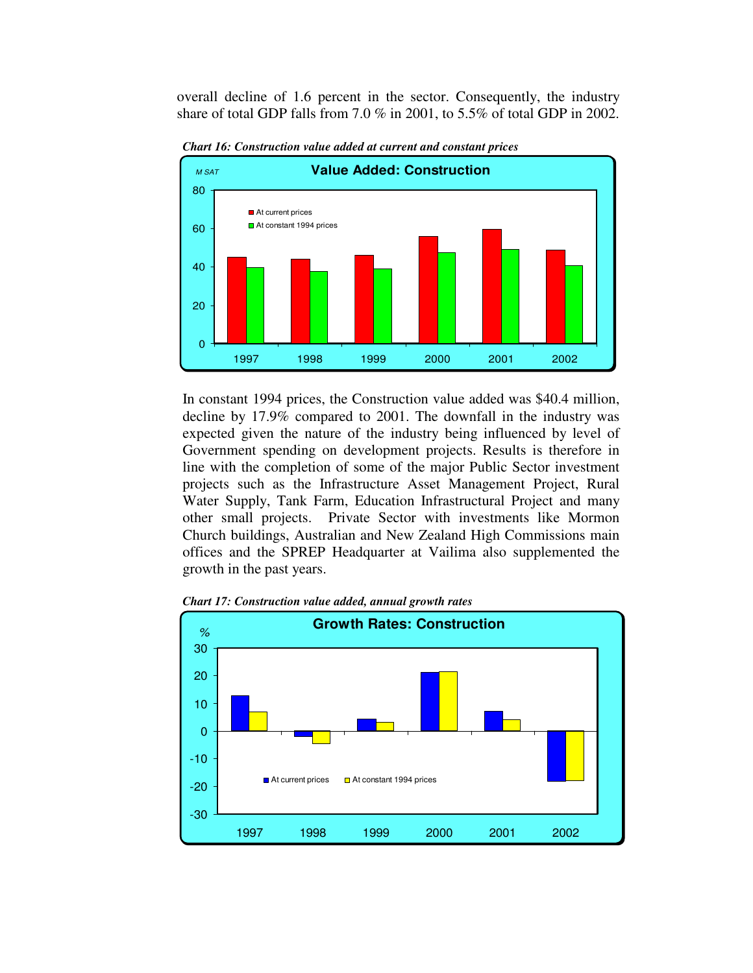overall decline of 1.6 percent in the sector. Consequently, the industry share of total GDP falls from 7.0 % in 2001, to 5.5% of total GDP in 2002.



*Chart 16: Construction value added at current and constant prices*

In constant 1994 prices, the Construction value added was \$40.4 million, decline by 17.9% compared to 2001. The downfall in the industry was expected given the nature of the industry being influenced by level of Government spending on development projects. Results is therefore in line with the completion of some of the major Public Sector investment projects such as the Infrastructure Asset Management Project, Rural Water Supply, Tank Farm, Education Infrastructural Project and many other small projects. Private Sector with investments like Mormon Church buildings, Australian and New Zealand High Commissions main offices and the SPREP Headquarter at Vailima also supplemented the growth in the past years.



*Chart 17: Construction value added, annual growth rates*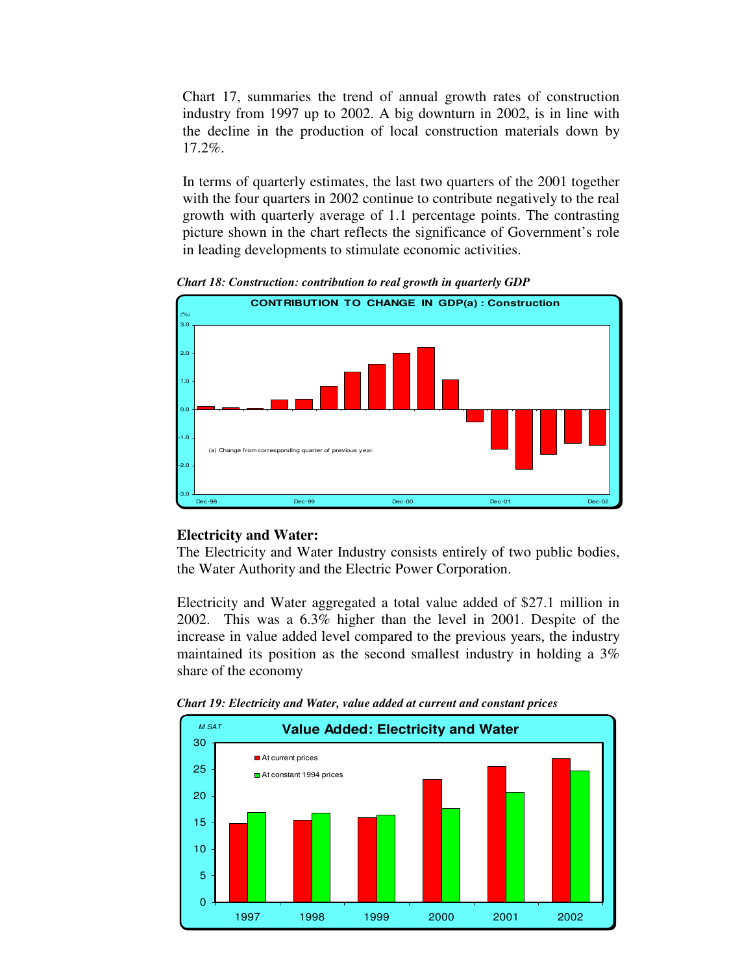Chart 17, summaries the trend of annual growth rates of construction industry from 1997 up to 2002. A big downturn in 2002, is in line with the decline in the production of local construction materials down by 17.2%.

In terms of quarterly estimates, the last two quarters of the 2001 together with the four quarters in 2002 continue to contribute negatively to the real growth with quarterly average of 1.1 percentage points. The contrasting picture shown in the chart reflects the significance of Government's role in leading developments to stimulate economic activities.



*Chart 18: Construction: contribution to real growth in quarterly GDP*

# **Electricity and Water:**

The Electricity and Water Industry consists entirely of two public bodies, the Water Authority and the Electric Power Corporation.

Electricity and Water aggregated a total value added of \$27.1 million in 2002. This was a 6.3% higher than the level in 2001. Despite of the increase in value added level compared to the previous years, the industry maintained its position as the second smallest industry in holding a 3% share of the economy



*Chart 19: Electricity and Water, value added at current and constant prices*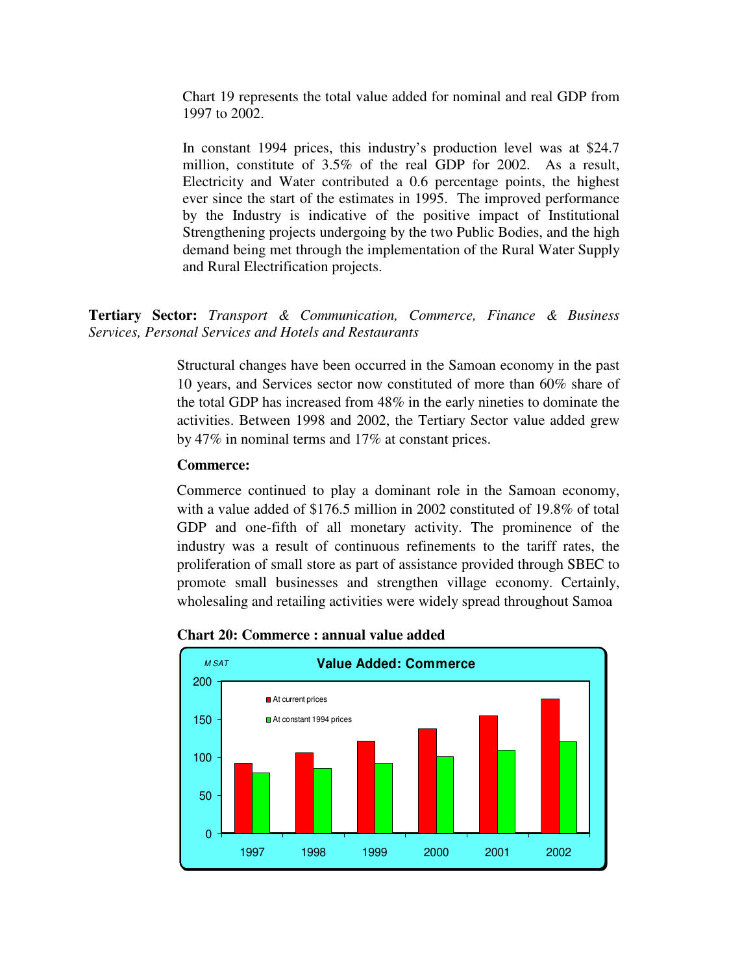Chart 19 represents the total value added for nominal and real GDP from 1997 to 2002.

In constant 1994 prices, this industry's production level was at \$24.7 million, constitute of 3.5% of the real GDP for 2002. As a result, Electricity and Water contributed a 0.6 percentage points, the highest ever since the start of the estimates in 1995. The improved performance by the Industry is indicative of the positive impact of Institutional Strengthening projects undergoing by the two Public Bodies, and the high demand being met through the implementation of the Rural Water Supply and Rural Electrification projects.

**Tertiary Sector:** *Transport & Communication, Commerce, Finance & Business Services, Personal Services and Hotels and Restaurants*

> Structural changes have been occurred in the Samoan economy in the past 10 years, and Services sector now constituted of more than 60% share of the total GDP has increased from 48% in the early nineties to dominate the activities. Between 1998 and 2002, the Tertiary Sector value added grew by 47% in nominal terms and 17% at constant prices.

#### **Commerce:**

Commerce continued to play a dominant role in the Samoan economy, with a value added of \$176.5 million in 2002 constituted of 19.8% of total GDP and one-fifth of all monetary activity. The prominence of the industry was a result of continuous refinements to the tariff rates, the proliferation of small store as part of assistance provided through SBEC to promote small businesses and strengthen village economy. Certainly, wholesaling and retailing activities were widely spread throughout Samoa



**Chart 20: Commerce : annual value added**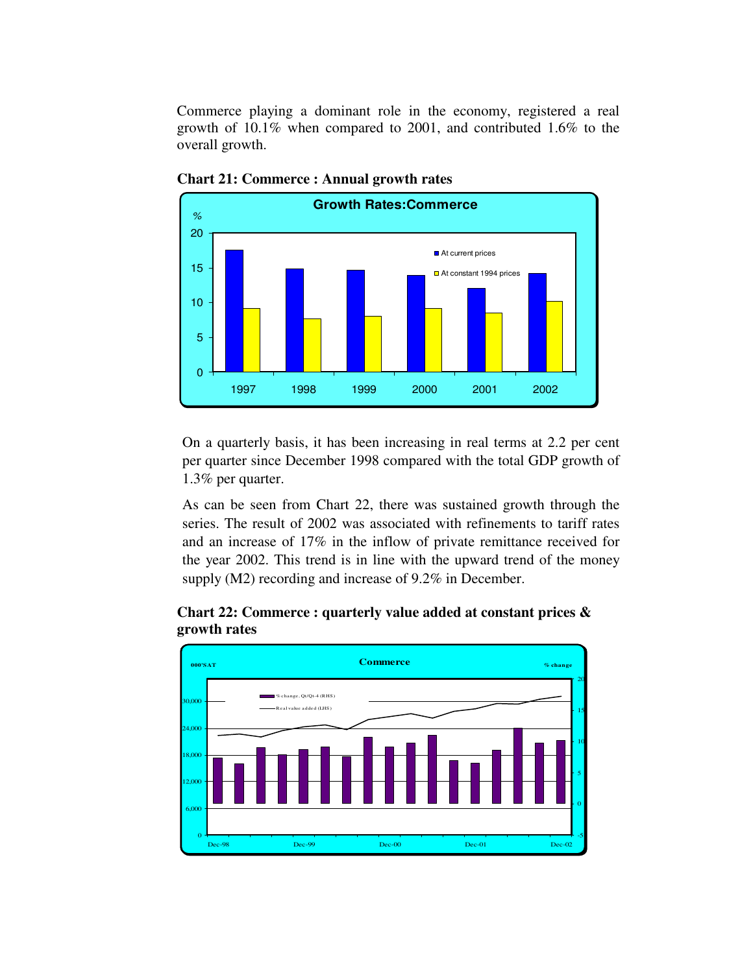Commerce playing a dominant role in the economy, registered a real growth of 10.1% when compared to 2001, and contributed 1.6% to the overall growth.



**Chart 21: Commerce : Annual growth rates**

On a quarterly basis, it has been increasing in real terms at 2.2 per cent per quarter since December 1998 compared with the total GDP growth of 1.3% per quarter.

As can be seen from Chart 22, there was sustained growth through the series. The result of 2002 was associated with refinements to tariff rates and an increase of 17% in the inflow of private remittance received for the year 2002. This trend is in line with the upward trend of the money supply (M2) recording and increase of 9.2% in December.



**Chart 22: Commerce : quarterly value added at constant prices & growth rates**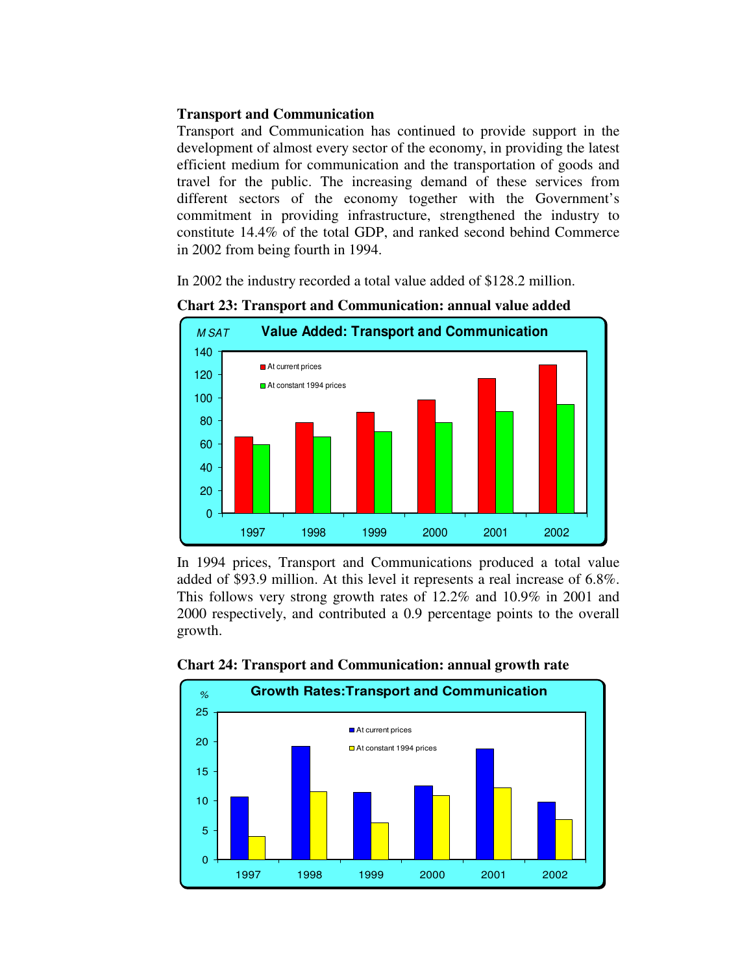# **Transport and Communication**

Transport and Communication has continued to provide support in the development of almost every sector of the economy, in providing the latest efficient medium for communication and the transportation of goods and travel for the public. The increasing demand of these services from different sectors of the economy together with the Government's commitment in providing infrastructure, strengthened the industry to constitute 14.4% of the total GDP, and ranked second behind Commerce in 2002 from being fourth in 1994.

In 2002 the industry recorded a total value added of \$128.2 million.



**Chart 23: Transport and Communication: annual value added**

In 1994 prices, Transport and Communications produced a total value added of \$93.9 million. At this level it represents a real increase of 6.8%. This follows very strong growth rates of 12.2% and 10.9% in 2001 and 2000 respectively, and contributed a 0.9 percentage points to the overall growth.



#### **Chart 24: Transport and Communication: annual growth rate**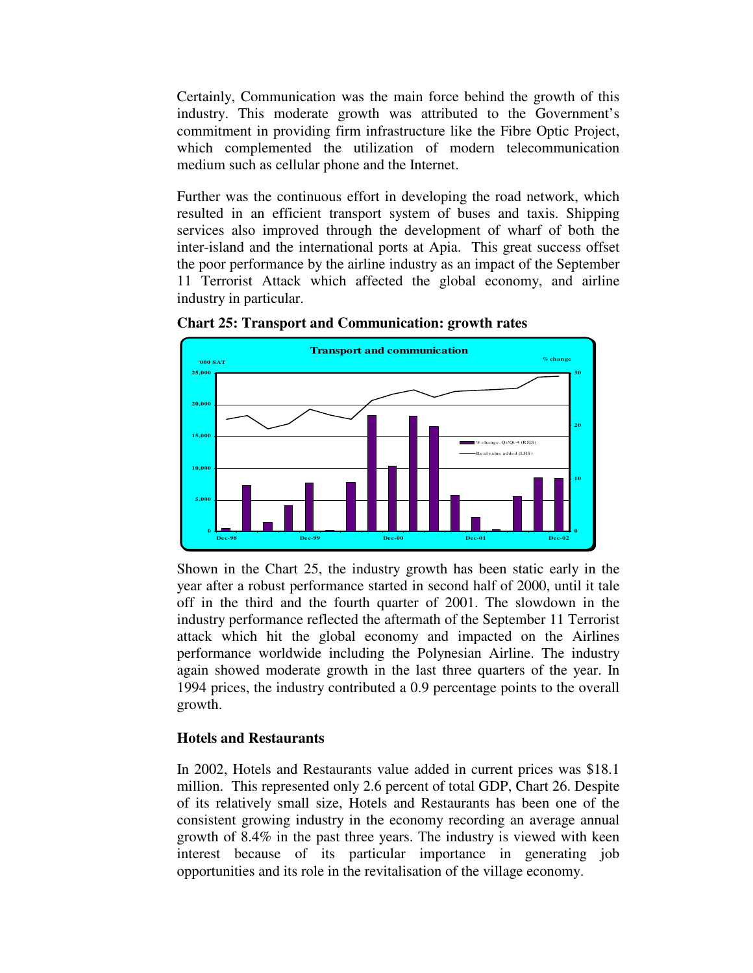Certainly, Communication was the main force behind the growth of this industry. This moderate growth was attributed to the Government's commitment in providing firm infrastructure like the Fibre Optic Project, which complemented the utilization of modern telecommunication medium such as cellular phone and the Internet.

Further was the continuous effort in developing the road network, which resulted in an efficient transport system of buses and taxis. Shipping services also improved through the development of wharf of both the inter-island and the international ports at Apia. This great success offset the poor performance by the airline industry as an impact of the September 11 Terrorist Attack which affected the global economy, and airline industry in particular.



**Chart 25: Transport and Communication: growth rates**

Shown in the Chart 25, the industry growth has been static early in the year after a robust performance started in second half of 2000, until it tale off in the third and the fourth quarter of 2001. The slowdown in the industry performance reflected the aftermath of the September 11 Terrorist attack which hit the global economy and impacted on the Airlines performance worldwide including the Polynesian Airline. The industry again showed moderate growth in the last three quarters of the year. In 1994 prices, the industry contributed a 0.9 percentage points to the overall growth.

# **Hotels and Restaurants**

In 2002, Hotels and Restaurants value added in current prices was \$18.1 million. This represented only 2.6 percent of total GDP, Chart 26. Despite of its relatively small size, Hotels and Restaurants has been one of the consistent growing industry in the economy recording an average annual growth of 8.4% in the past three years. The industry is viewed with keen interest because of its particular importance in generating job opportunities and its role in the revitalisation of the village economy.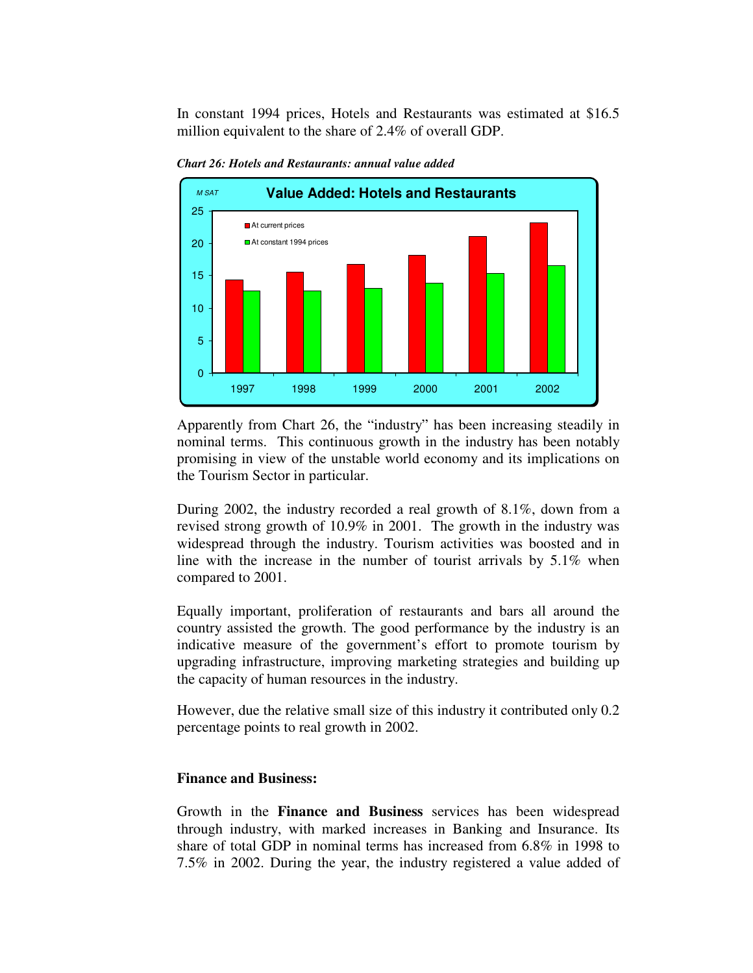In constant 1994 prices, Hotels and Restaurants was estimated at \$16.5 million equivalent to the share of 2.4% of overall GDP.



*Chart 26: Hotels and Restaurants: annual value added*

Apparently from Chart 26, the "industry" has been increasing steadily in nominal terms. This continuous growth in the industry has been notably promising in view of the unstable world economy and its implications on the Tourism Sector in particular.

During 2002, the industry recorded a real growth of 8.1%, down from a revised strong growth of 10.9% in 2001. The growth in the industry was widespread through the industry. Tourism activities was boosted and in line with the increase in the number of tourist arrivals by 5.1% when compared to 2001.

Equally important, proliferation of restaurants and bars all around the country assisted the growth. The good performance by the industry is an indicative measure of the government's effort to promote tourism by upgrading infrastructure, improving marketing strategies and building up the capacity of human resources in the industry.

However, due the relative small size of this industry it contributed only 0.2 percentage points to real growth in 2002.

#### **Finance and Business:**

Growth in the **Finance and Business** services has been widespread through industry, with marked increases in Banking and Insurance. Its share of total GDP in nominal terms has increased from 6.8% in 1998 to 7.5% in 2002. During the year, the industry registered a value added of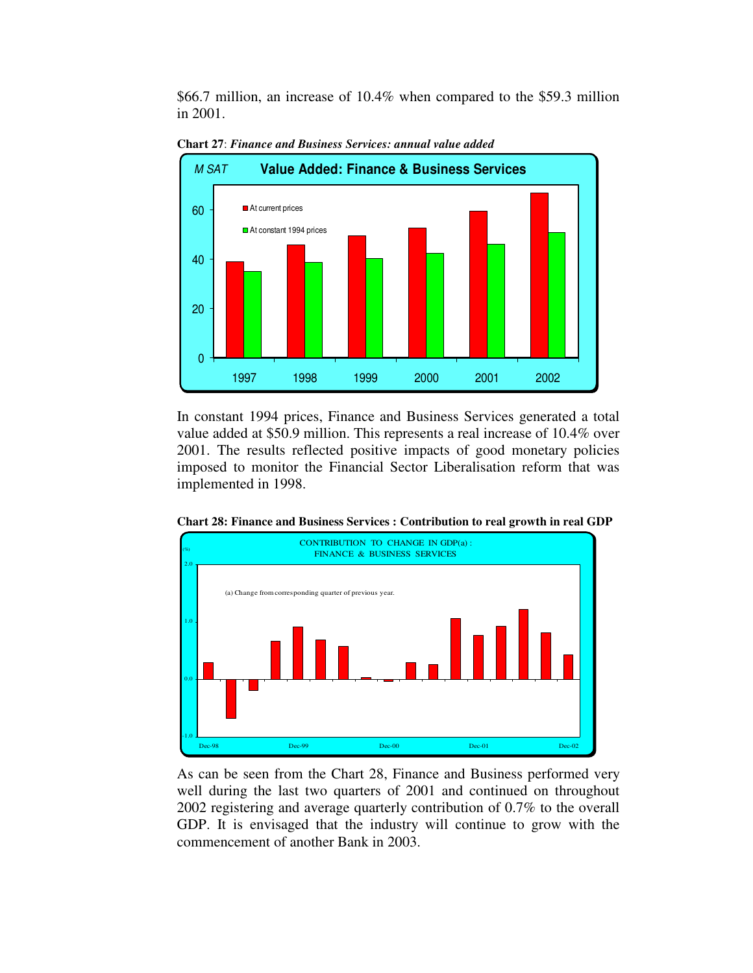\$66.7 million, an increase of 10.4% when compared to the \$59.3 million in 2001.



**Chart 27**: *Finance and Business Services: annual value added*

In constant 1994 prices, Finance and Business Services generated a total value added at \$50.9 million. This represents a real increase of 10.4% over 2001. The results reflected positive impacts of good monetary policies imposed to monitor the Financial Sector Liberalisation reform that was implemented in 1998.



**Chart 28: Finance and Business Services : Contribution to real growth in real GDP**

As can be seen from the Chart 28, Finance and Business performed very well during the last two quarters of 2001 and continued on throughout 2002 registering and average quarterly contribution of 0.7% to the overall GDP. It is envisaged that the industry will continue to grow with the commencement of another Bank in 2003.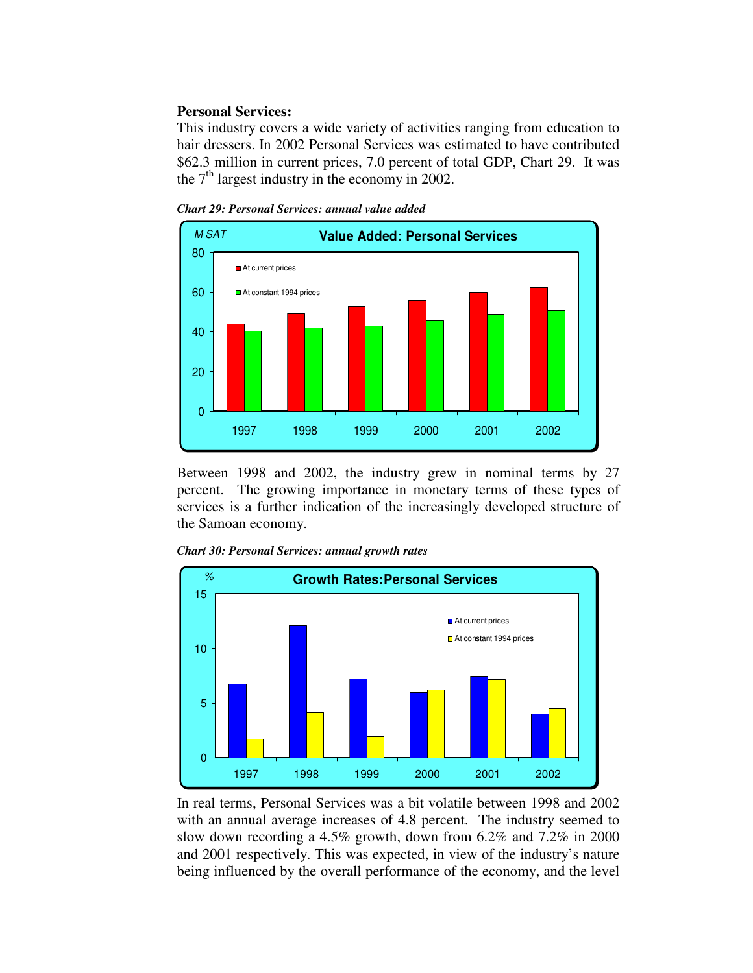#### **Personal Services:**

This industry covers a wide variety of activities ranging from education to hair dressers. In 2002 Personal Services was estimated to have contributed \$62.3 million in current prices, 7.0 percent of total GDP, Chart 29. It was the  $7<sup>th</sup>$  largest industry in the economy in 2002.

*Chart 29: Personal Services: annual value added*



Between 1998 and 2002, the industry grew in nominal terms by 27 percent. The growing importance in monetary terms of these types of services is a further indication of the increasingly developed structure of the Samoan economy.





In real terms, Personal Services was a bit volatile between 1998 and 2002 with an annual average increases of 4.8 percent. The industry seemed to slow down recording a 4.5% growth, down from 6.2% and 7.2% in 2000 and 2001 respectively. This was expected, in view of the industry's nature being influenced by the overall performance of the economy, and the level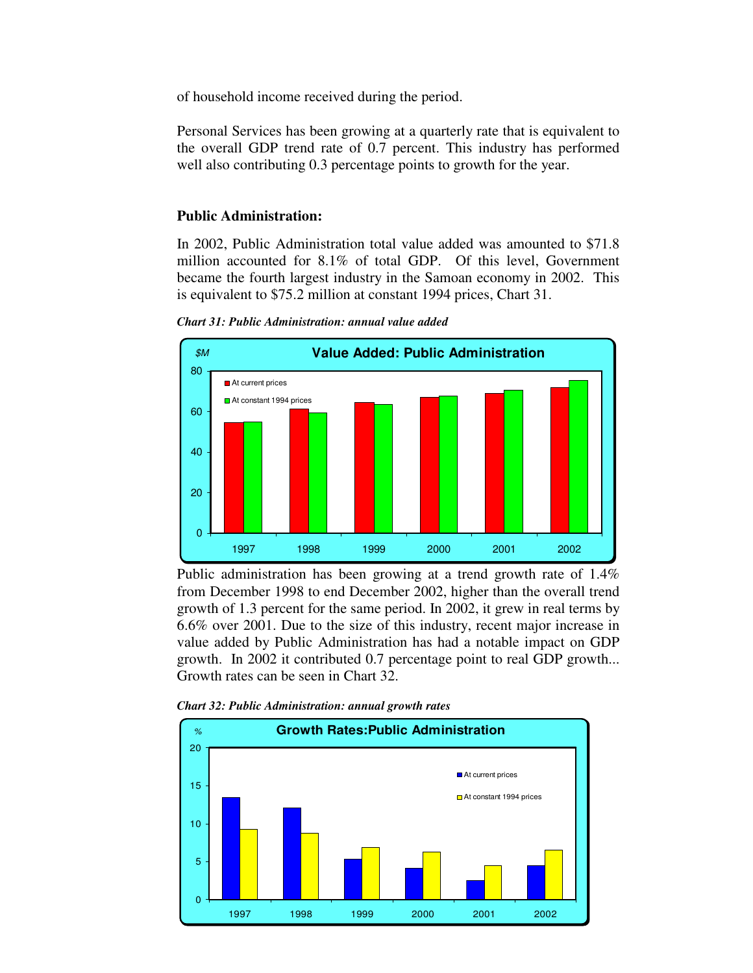of household income received during the period.

Personal Services has been growing at a quarterly rate that is equivalent to the overall GDP trend rate of 0.7 percent. This industry has performed well also contributing 0.3 percentage points to growth for the year.

# **Public Administration:**

In 2002, Public Administration total value added was amounted to \$71.8 million accounted for 8.1% of total GDP. Of this level, Government became the fourth largest industry in the Samoan economy in 2002. This is equivalent to \$75.2 million at constant 1994 prices, Chart 31.



*Chart 31: Public Administration: annual value added*

Public administration has been growing at a trend growth rate of 1.4% from December 1998 to end December 2002, higher than the overall trend growth of 1.3 percent for the same period. In 2002, it grew in real terms by 6.6% over 2001. Due to the size of this industry, recent major increase in value added by Public Administration has had a notable impact on GDP growth. In 2002 it contributed 0.7 percentage point to real GDP growth... Growth rates can be seen in Chart 32.

*Chart 32: Public Administration: annual growth rates*